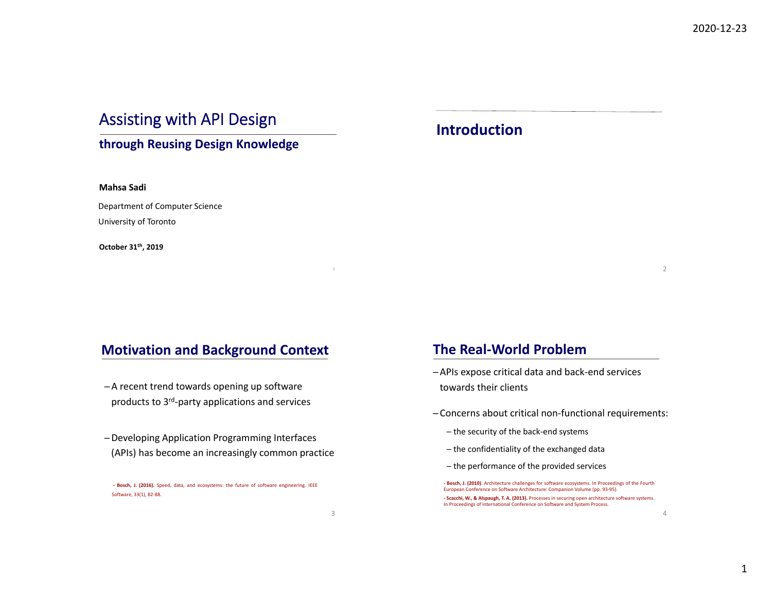# Assisting with API Design

### **through Reusing Design Knowledge**

#### **Mahsa Sadi**

Department of Computer Science University of Toronto

**October 31th, 2019**

## **Motivation and Background Context**

- ─A recent trend towards opening up software products to 3rd‐party applications and services
- ─Developing Application Programming Interfaces (APIs) has become an increasingly common practice

**‐ Bosch, J. (2016).** Speed, data, and ecosystems: the future of software engineering. IEEE Software, 33(1), 82‐88.

## **Introduction**

2

 $\Delta$ 

## **The Real‐World Problem**

- ─APIs expose critical data and back‐end services towards their clients
- ─ Concerns about critical non‐functional requirements:
	- ─ the security of the back‐end systems
	- ─ the confidentiality of the exchanged data
	- ─ the performance of the provided services

**‐ Bosch, J. (2010)**. Architecture challenges for software ecosystems. In Proceedings of the Fourth European Conference on Software Architecture: Companion Volume (pp. 93‐95). **‐ Scacchi, W., & Alspaugh, T. A. (2013).** Processes in securing open architecture software systems. In Proceedings of International Conference on Software and System Process.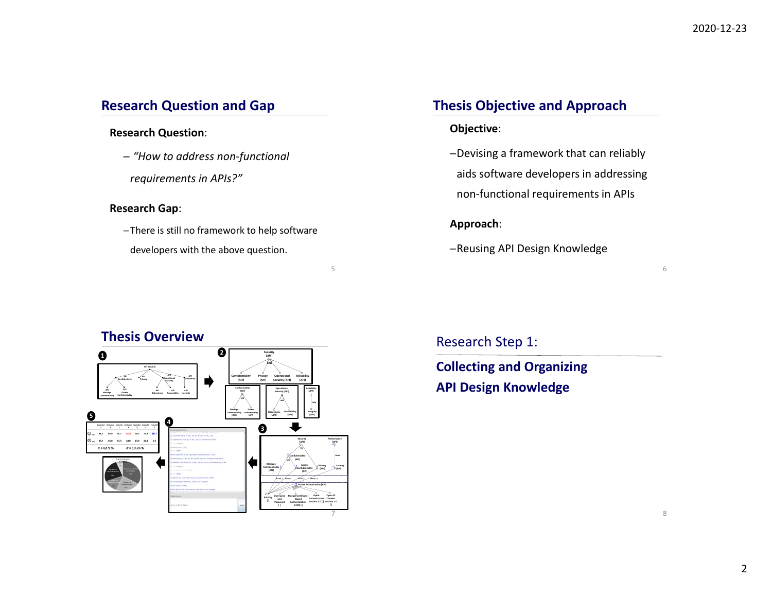## **Research Question and Gap**

#### **Research Question**:

- ─ *"How to address non‐functional*
- *requirements in APIs?"*

#### **Research Gap**:

─ There is still no framework to help software developers with the above question.

## **Thesis Objective and Approach**

### **Objective**:

─Devising <sup>a</sup> framework that can reliably aids software developers in addressing non‐functional requirements in APIs

#### **Approach**:

─Reusing API Design Knowledge

**1 <sup>2</sup> 45 SecurityPrivacyAPIConfidentialityOperational SecurityRobustnessAPITraceabilityReliabilityAPIAPIMessageConfidentialityAPIConfidentialityConfidentiality [***API***] andPrivacy [API] Confidentiality[***API***] Confidentiality[***API***] Confidentiality[***API***]**

## **Thesis Overview**

 between answers isinappropriate.

 $\sigma$  = 19.76  $\%$ 

 $\bar{x}$  = 62.9%



5

# Research Step 1:

**Collecting and Organizing API Design Knowledge**

6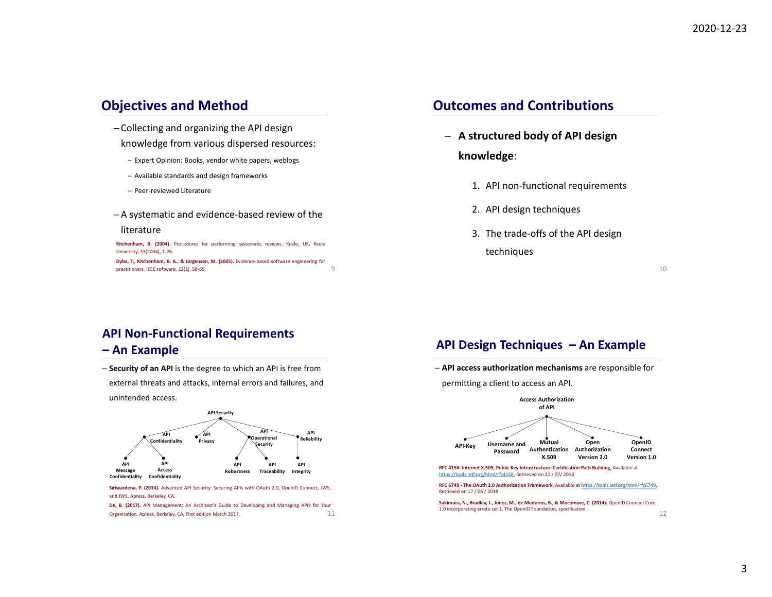## **Objectives and Method**

- ─ Collecting and organizing the API design knowledge from various dispersed resources:
	- ─ Expert Opinion: Books, vendor white papers, weblogs
	- ─ Available standards and design frameworks
	- ─ Peer‐reviewed Literature
- ─A systematic and evidence‐based review of the

#### literature

9**Kitchenham, B. (2004).** Procedures for performing systematic reviews. Keele, UK, Keele University, 33(2004), 1‐26. **Dyba, T., Kitchenham, B. A., & Jorgensen, M. (2005).** Evidence‐based software engineering for practitioners. IEEE software, 22(1), 58‐65.

## **Outcomes and Contributions**

- ─ **A structured body of API design knowledge**:
	- 1. API non‐functional requirements
	- 2. API design techniques
	- 3. The trade‐offs of the API design techniques

10

## **API Non‐Functional Requirements**

#### **– An Example**

─ **Security of an API** is the degree to which an API is free from external threats and attacks, internal errors and failures, and unintended access.



**Siriwardena, P. (2014).** Advanced API Security: Securing APIs with OAuth 2.0, OpenID Connect, JWS, and JWE. Apress, Berkeley, CA.

11**De, B. (2017).** API Management: An Architect's Guide to Developing and Managing APIs for Your Organization. Apress, Berkeley, CA, First edition March 2017.

### **API Design Techniques – An Example**

─ **API access authorization mechanisms** are responsible for

permitting <sup>a</sup> client to access an API.



**RFC 6749 ‐ The OAuth 2.0 Authorization Framework**, Available at https://tools.ietf.org/html/rfc6749, Retrieved on 17 / 06 / 2018

**Sakimura, N., Bradley, J., Jones, M., de Medeiros, B., & Mortimore, C. (2014).** OpenID Connect Core 1.0 incorporating errata set 1. The OpenID Foundation, specification.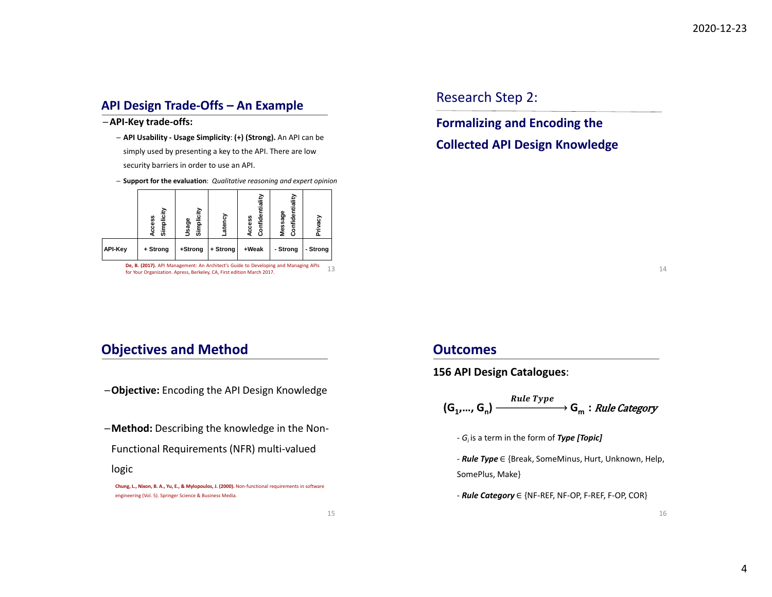## **API Design Trade‐Offs – An Example**

─**API‐Key trade‐offs:**

- ─ **API Usability ‐ Usage Simplicity**: **(+) (Strong).** An API can be simply used by presenting <sup>a</sup> key to the API. There are low security barriers in order to use an API.
- ─ **Support for the evaluation**: *Qualitative reasoning and expert opinion*



13**De, B. (2017).** API Management: An Architect's Guide to Developing and Managing APIs for Your Organization. Apress, Berkeley, CA, First edition March 2017.

Research Step 2:

**Formalizing and Encoding the**

**Collected API Design Knowledge**

14

## **Objectives and Method**

- ─**Objective:** Encoding the API Design Knowledge
- ─**Method:** Describing the knowledge in the Non‐
- Functional Requirements (NFR) multi‐valued

#### logic

**Chung, L., Nixon, B. A., Yu, E., & Mylopoulos, J. (2000).** Non‐functional requirements in software engineering (Vol. 5). Springer Science & Business Media.

### **Outcomes**

**156 API Design Catalogues**:

$$
(G_1,..., G_n) \xrightarrow{\text{Rule Type}} G_m : \text{Rule category}
$$

‐ *Gi* is <sup>a</sup> term in the form of *Type [Topic]*

- ‐ *Rule Type* <sup>∈</sup> {Break, SomeMinus, Hurt, Unknown, Help, SomePlus, Make}
- ‐ *Rule Category* <sup>∈</sup> {NF‐REF, NF‐OP, F‐REF, F‐OP, COR}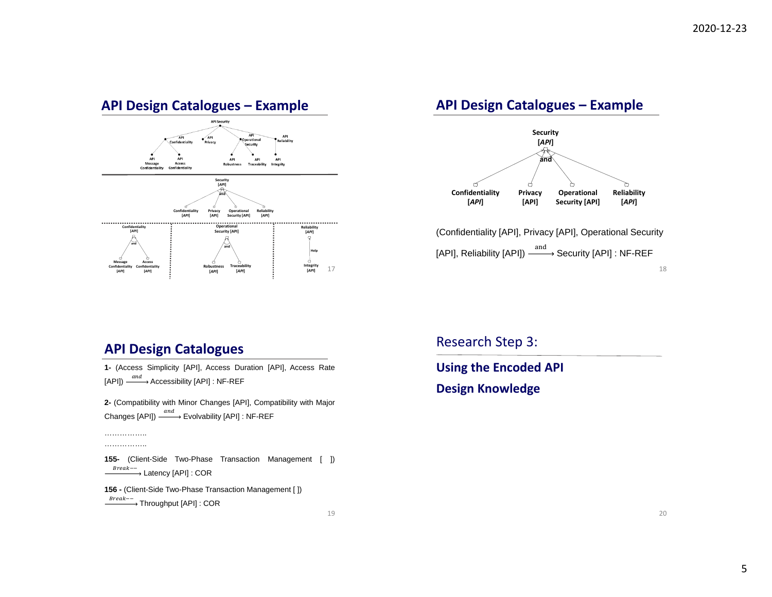## **API Design Catalogues – Example**



## **API Design Catalogues – Example**



(Confidentiality [API], Privacy [API], Operational Security [API], Reliability [API])  $\overset{\text{and}}{\xrightarrow{\hspace{1.5cm}}}$  Security [API] : NF-REF

#### 18

## **API Design Catalogues**

………………… .............

**1-** (Access Simplicity [API], Access Duration [API], Access Rate  $[\mathsf{API}]) \stackrel{and}{\xrightarrow{\hspace*{1cm}}} \mathsf{Accessibility}\ [\mathsf{API}] : \mathsf{NF}\text{-}\mathsf{REF}$ 

**2-** (Compatibility with Minor Changes [API], Compatibility with Major Changes [API])  $\xrightarrow{and}$  Evolvability [API] : NF-REF

**155-** (Client-Side Two-Phase Transaction Management [ ]) *Break--*<br>———→ Latency [API] : COR

19

**156 -** (Client-Side Two-Phase Transaction Management [ ])  $\overline{\;}^{Break--}$  Throughput [API] : COR

### Research Step 3:

**Using the Encoded API Design Knowledge**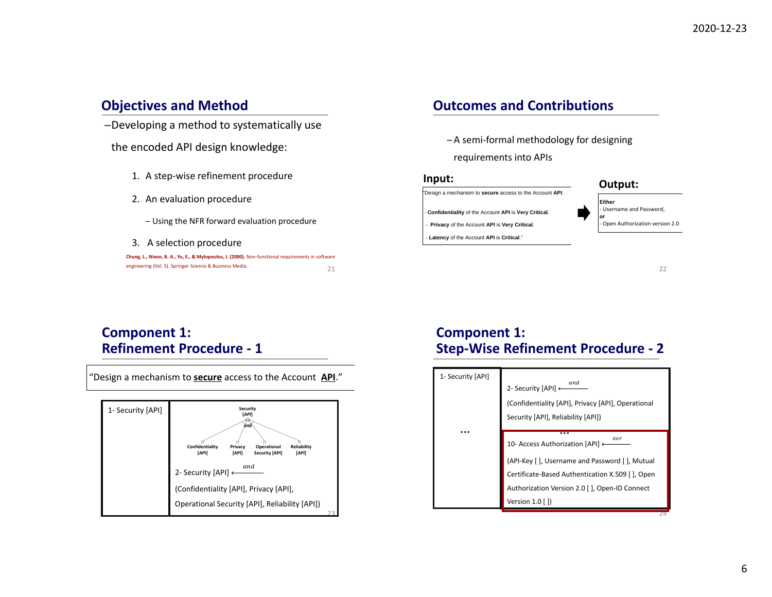## **Objectives and Method**

─Developing <sup>a</sup> method to systematically use

the encoded API design knowledge:

- 1. A step‐wise refinement procedure
- 2. An evaluation procedure
	- ─ Using the NFR forward evaluation procedure
- 3. A selection procedure

| Chung, L., Nixon, B. A., Yu, E., & Mylopoulos, J. (2000). Non-functional requirements in software |  |
|---------------------------------------------------------------------------------------------------|--|
| engineering (Vol. 5). Springer Science & Business Media.                                          |  |

## **Outcomes and Contributions**

- ─A semi‐formal methodology for designing
- requirements into APIs

#### **Input:**





22

## **Component 1: Refinement Procedure ‐ 1**



# **Component 1: Step‐Wise Refinement Procedure ‐ 2**

| 1- Security [API] | and<br>2- Security [API] ←<br>(Confidentiality [API], Privacy [API], Operational<br>Security [API], Reliability [API])                                                                                               |
|-------------------|----------------------------------------------------------------------------------------------------------------------------------------------------------------------------------------------------------------------|
|                   | xor<br>10- Access Authorization [API] ←<br>(API-Key [ ], Username and Password [ ], Mutual<br>Certificate-Based Authentication X.509 [], Open<br>Authorization Version 2.0 [], Open-ID Connect<br>Version $1.0$ [ ]) |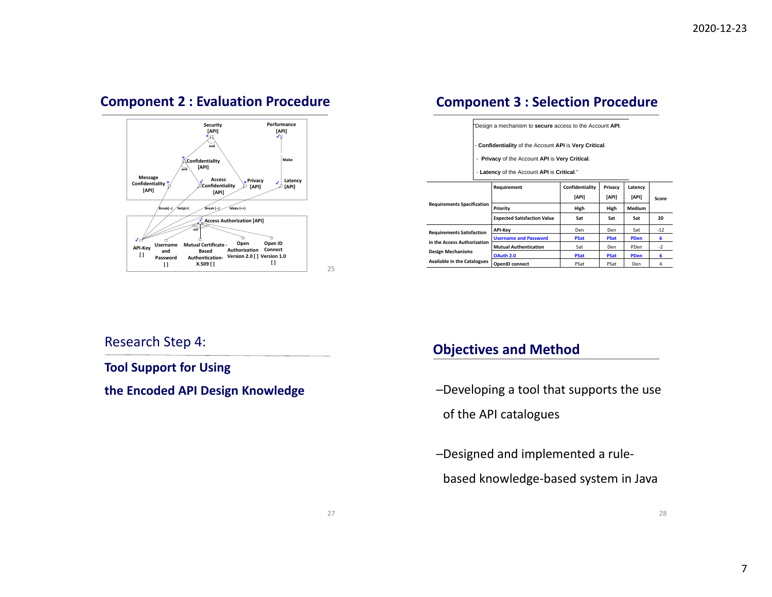## **Component 2 : Evaluation Procedure**



## **Component 3 : Selection Procedure**

|                                    | "Design a mechanism to secure access to the Account API.                                                                                               |                          |                  |                  |       |  |
|------------------------------------|--------------------------------------------------------------------------------------------------------------------------------------------------------|--------------------------|------------------|------------------|-------|--|
|                                    | - Confidentiality of the Account API is Very Critical.<br>- Privacy of the Account API is Very Critical.<br>- Latency of the Account API is Critical." |                          |                  |                  |       |  |
|                                    | Requirement                                                                                                                                            | Confidentiality<br>[API] | Privacy<br>[API] | Latency<br>[API] | Score |  |
| <b>Requirements Specification</b>  | Priority                                                                                                                                               | High                     | High             | Medium           |       |  |
|                                    | <b>Expected Satisfaction Value</b>                                                                                                                     | Sat                      | Sat              | Sat              | 20    |  |
| <b>Requirements Satisfaction</b>   | <b>API-Key</b>                                                                                                                                         | Den                      | Den              | Sat              | $-12$ |  |
| in the Access Authorization        | <b>Username and Password</b>                                                                                                                           | <b>PSat</b>              | <b>PSat</b>      | <b>PDen</b>      | 6     |  |
|                                    | <b>Mutual Authentication</b>                                                                                                                           | Sat                      | Den              | PDen             | $-2$  |  |
| <b>Design Mechanisms</b>           | OAuth 2.0                                                                                                                                              | <b>PSat</b>              | <b>PSat</b>      | <b>PDen</b>      | 6     |  |
| <b>Available in the Catalogues</b> | <b>OpenID</b> connect                                                                                                                                  | PSat                     | PSat             | Den              | 4     |  |

### Research Step 4:

### **Tool Support for Using**

**the Encoded**

## **Objectives and Method**

**-Developing a tool that supports the use** 

of the API catalogues

─Designed and implemented <sup>a</sup> rule‐ based knowledge‐based system in Java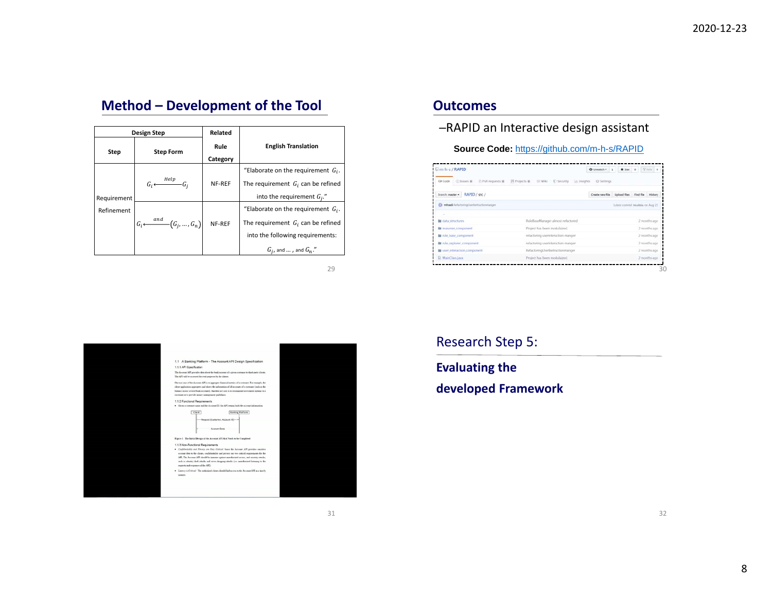# **Method – Development of the Tool**

| Design Step               |                                                   | Related          |                                                                                                                                                    |
|---------------------------|---------------------------------------------------|------------------|----------------------------------------------------------------------------------------------------------------------------------------------------|
| Step                      | <b>Step Form</b>                                  | Rule<br>Category | <b>English Translation</b>                                                                                                                         |
|                           | $G_i \longleftarrow$ Help $G_i$                   | NF-REF           | "Elaborate on the requirement $G_i$ .<br>The requirement $G_i$ can be refined                                                                      |
| Requirement<br>Refinement | $G_i \longleftarrow \stackrel{and}{(G_i, , G_n)}$ | NF-REF           | into the requirement $G_i$ ."<br>"Elaborate on the requirement $G_i$ .<br>The requirement $G_i$ can be refined<br>into the following requirements: |
|                           |                                                   |                  | $G_i$ , and $\ldots$ , and $G_n$ ."                                                                                                                |

29



### **Outcomes**

#### ─RAPID an Interactive design assistant

**Source Code:** https://github.com/m-h-s/RAPID

| Branch: master = RAPID / sec /            |                                     | Create new file Upload files Find file History |                                   |              |              |  |
|-------------------------------------------|-------------------------------------|------------------------------------------------|-----------------------------------|--------------|--------------|--|
| Ch misadi futurting Jurdivitiz Economical |                                     |                                                | Latest commit levalible on Aug 23 |              |              |  |
|                                           |                                     |                                                |                                   |              |              |  |
| data structures.                          | RufellaseManager almost relactored  |                                                |                                   |              | 2 months ago |  |
| <b>Il reasoner component</b>              | Project has been modulaized.        |                                                |                                   | 2 months ago |              |  |
| in rule have component                    | refactoring userinteraction manger  |                                                |                                   |              | 2 months ago |  |
| to rule explorer component                | relactoring userinteraction manger. |                                                |                                   |              | 2 months ago |  |
| ser interaction component                 | RefactoringUsednetractionmanger     |                                                |                                   |              | 2 months ago |  |
| El MainClass.java                         | Project has been modulaized.        |                                                |                                   |              | 2 months ago |  |

Research Step 5:

**Evaluating the**

**developed Framework**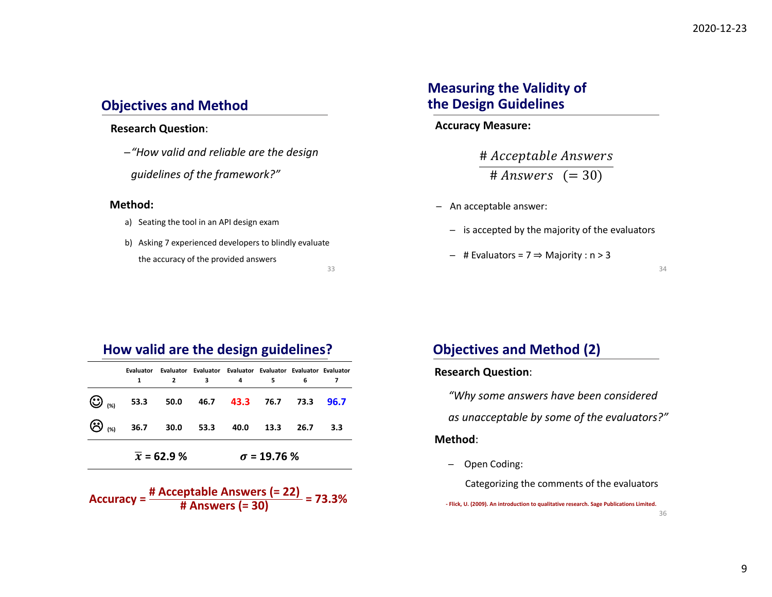## **Objectives and Method**

#### **Research Question**:

─*"How valid and reliable are the design guidelines of the framework?"*

#### **Method:**

- a) Seating the tool in an API design exam
- b) Asking 7 experienced developers to blindly evaluate the accuracy of the provided answers

33

# **Measuring the Validity of the Design Guidelines**

#### **Accuracy Measure:**

# Acceptable Answers # Answers  $(=30)$ 

- ─ An acceptable answer:
	- ─ is accepted by the majority of the evaluators
	- ─ # Evaluators <sup>=</sup> 7 ⇒ Majority : <sup>n</sup> <sup>&</sup>gt; 3

34

## **How valid are the design guidelines?**

|                    |                                                                  | Evaluator Evaluator Evaluator Evaluator Evaluator Evaluator Evaluator<br>$\mathbf{2}$ | 3 4 | 5.                 | 6    |     |
|--------------------|------------------------------------------------------------------|---------------------------------------------------------------------------------------|-----|--------------------|------|-----|
|                    | $\bigodot$ <sub>(%)</sub> 53.3 50.0 46.7 43.3 76.7 73.3 96.7     |                                                                                       |     |                    |      |     |
|                    | $\bigotimes_{\left(\frac{1}{2}\right)}$ 36.7 30.0 53.3 40.0 13.3 |                                                                                       |     |                    | 26.7 | 3.3 |
| $\bar{x}$ = 62.9 % |                                                                  |                                                                                       |     | $\sigma$ = 19.76 % |      |     |

**Accuracy <sup>=</sup> # Acceptable Answers (= 22) # Answers (= 30) <sup>=</sup> 73.3%**

# **Objectives and Method (2)**

#### **Research Question**:

*"Why some answers have been considered*

*as unacceptable by some of the evaluators?"*

#### **Method**:

─Open Coding:

Categorizing the comments of the evaluators

**‐ Flick, U. (2009). An introduction to qualitative research. Sage Publications Limited.**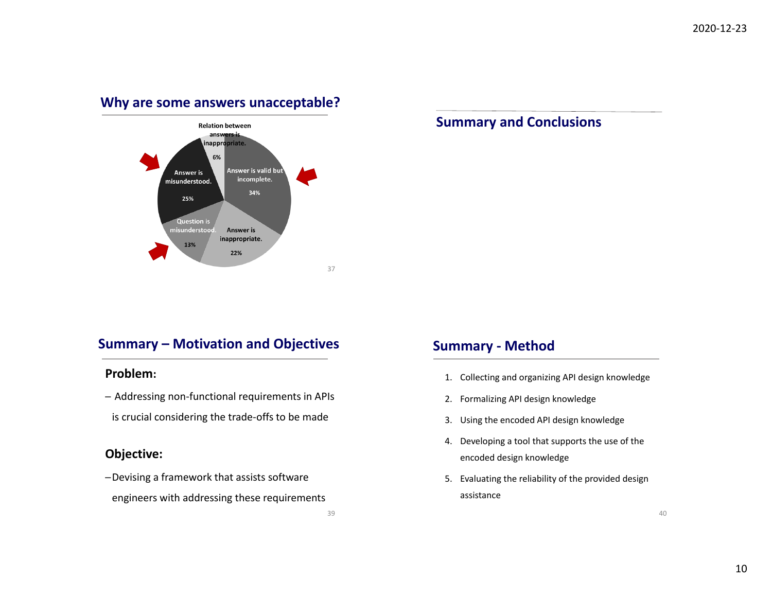## **Why are some answers unacceptable?**



## **Summary and Conclusions**

## **Summary – Motivation and Objectives**

### **Problem:**

─ Addressing non‐functional requirements in APIs is crucial considering the trade‐offs to be made

## **Objective:**

- ─Devising <sup>a</sup> framework that assists software
- engineers with addressing these requirements

## **Summary ‐ Method**

- 1. Collecting and organizing API design knowledge
- 2. Formalizing API design knowledge
- 3. Using the encoded API design knowledge
- 4. Developing <sup>a</sup> tool that supports the use of the encoded design knowledge
- 5. Evaluating the reliability of the provided design assistance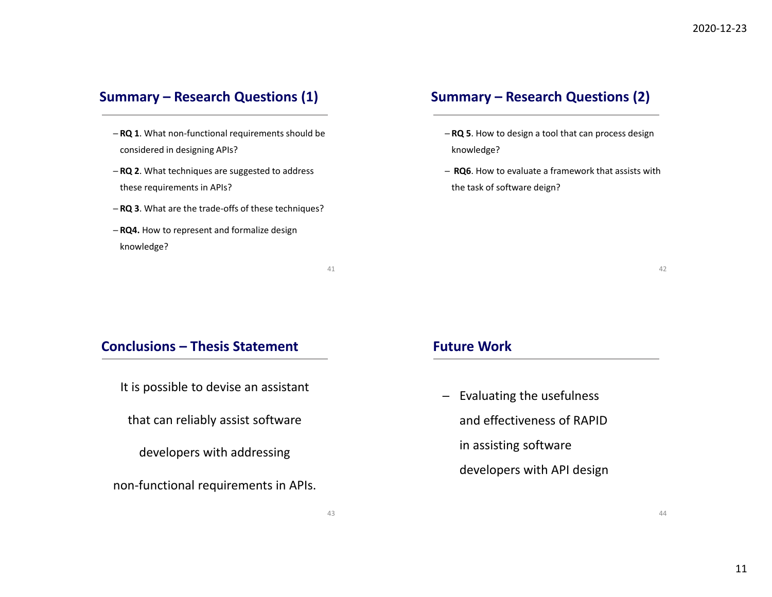## **Summary – Research Questions (1)**

- ─ **RQ 1**. What non‐functional requirements should be considered in designing APIs?
- ─ **RQ 2**. What techniques are suggested to address these requirements in APIs?
- ─ **RQ 3**. What are the trade‐offs of these techniques?
- ─ **RQ4.** How to represent and formalize design knowledge?

41

## **Summary – Research Questions (2)**

- ─ **RQ 5**. How to design <sup>a</sup> tool that can process design knowledge?
- ─ **RQ6**. How to evaluate <sup>a</sup> framework that assists with the task of software deign?

42

44

#### **Conclusions – Thesis Statement**

It is possible to devise an assistant

that can reliably assist software

developers with addressing

non‐functional requirements in APIs.

#### **Future Work**

─ Evaluating the usefulness and effectiveness of RAPIDin assisting software developers with API design